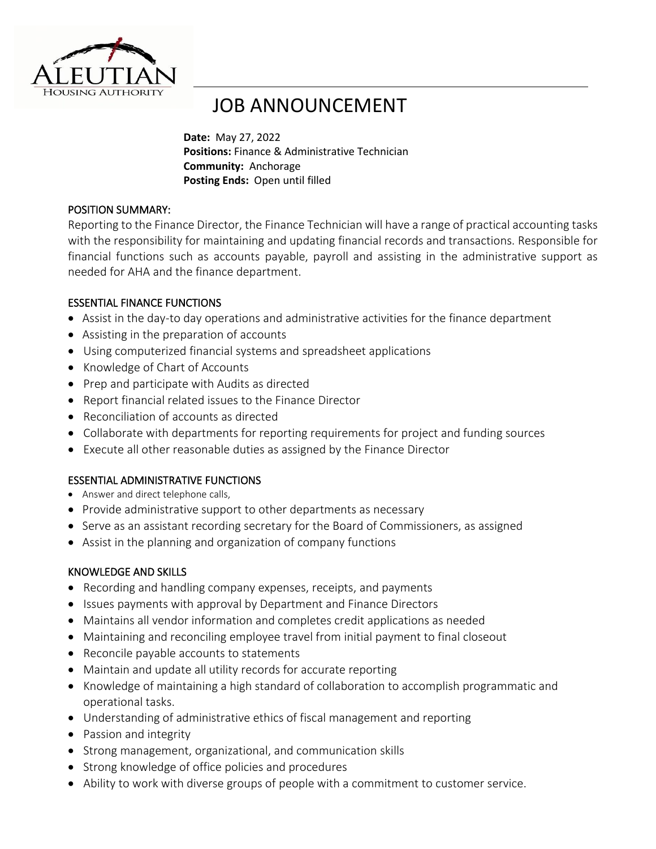

# JOB ANNOUNCEMENT

**Date:** May 27, 2022 **Positions:** Finance & Administrative Technician **Community:** Anchorage **Posting Ends:** Open until filled

## POSITION SUMMARY:

Reporting to the Finance Director, the Finance Technician will have a range of practical accounting tasks with the responsibility for maintaining and updating financial records and transactions. Responsible for financial functions such as accounts payable, payroll and assisting in the administrative support as needed for AHA and the finance department.

## ESSENTIAL FINANCE FUNCTIONS

- Assist in the day-to day operations and administrative activities for the finance department
- Assisting in the preparation of accounts
- Using computerized financial systems and spreadsheet applications
- Knowledge of Chart of Accounts
- Prep and participate with Audits as directed
- Report financial related issues to the Finance Director
- Reconciliation of accounts as directed
- Collaborate with departments for reporting requirements for project and funding sources
- Execute all other reasonable duties as assigned by the Finance Director

## ESSENTIAL ADMINISTRATIVE FUNCTIONS

- Answer and direct telephone calls,
- Provide administrative support to other departments as necessary
- Serve as an assistant recording secretary for the Board of Commissioners, as assigned
- Assist in the planning and organization of company functions

## KNOWLEDGE AND SKILLS

- Recording and handling company expenses, receipts, and payments
- Issues payments with approval by Department and Finance Directors
- Maintains all vendor information and completes credit applications as needed
- Maintaining and reconciling employee travel from initial payment to final closeout
- Reconcile payable accounts to statements
- Maintain and update all utility records for accurate reporting
- Knowledge of maintaining a high standard of collaboration to accomplish programmatic and operational tasks.
- Understanding of administrative ethics of fiscal management and reporting
- Passion and integrity
- Strong management, organizational, and communication skills
- Strong knowledge of office policies and procedures
- Ability to work with diverse groups of people with a commitment to customer service.